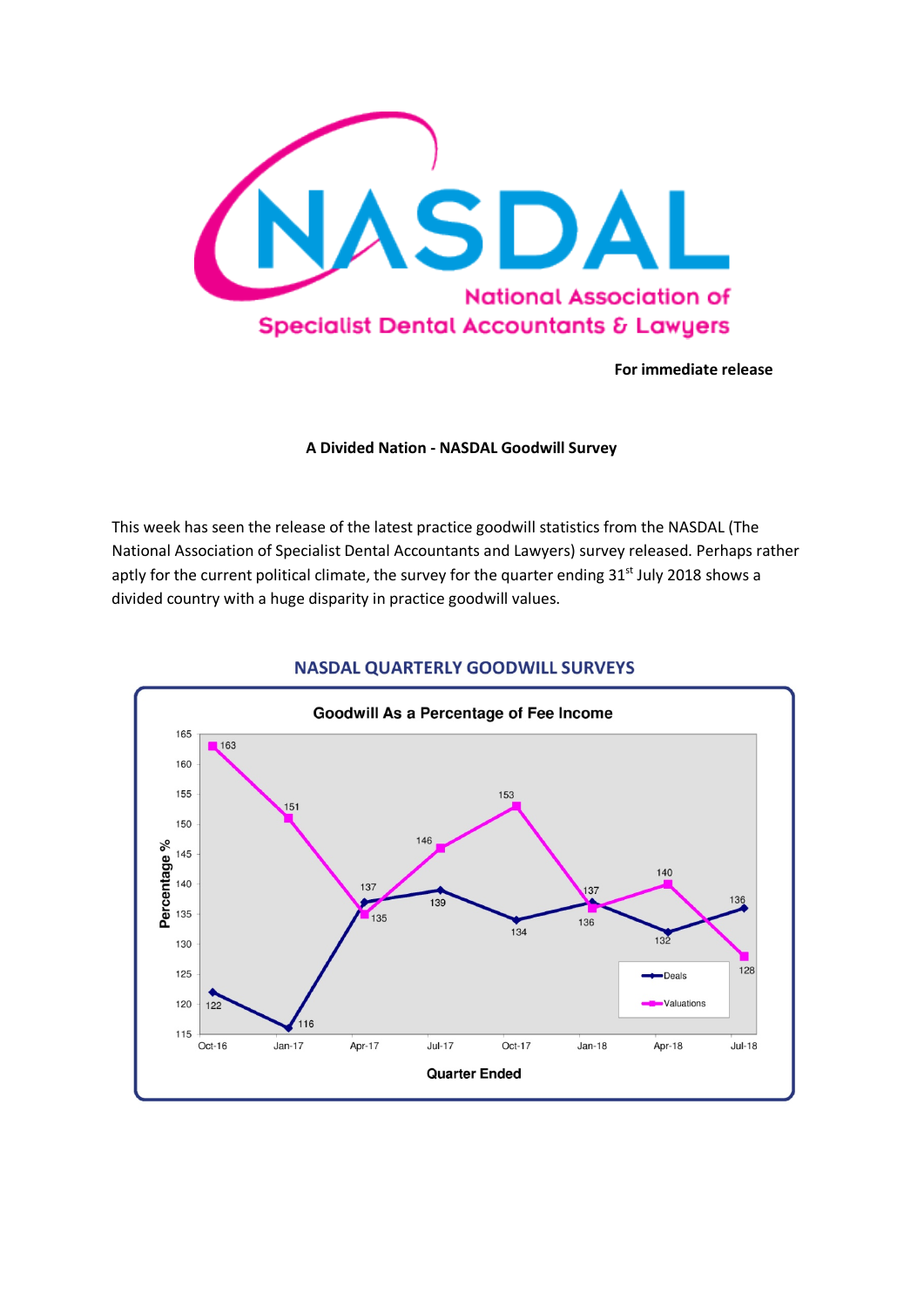

**For immediate release**

### **A Divided Nation - NASDAL Goodwill Survey**

This week has seen the release of the latest practice goodwill statistics from the NASDAL (The National Association of Specialist Dental Accountants and Lawyers) survey released. Perhaps rather aptly for the current political climate, the survey for the quarter ending 31<sup>st</sup> July 2018 shows a divided country with a huge disparity in practice goodwill values.



# **NASDAL QUARTERLY GOODWILL SURVEYS**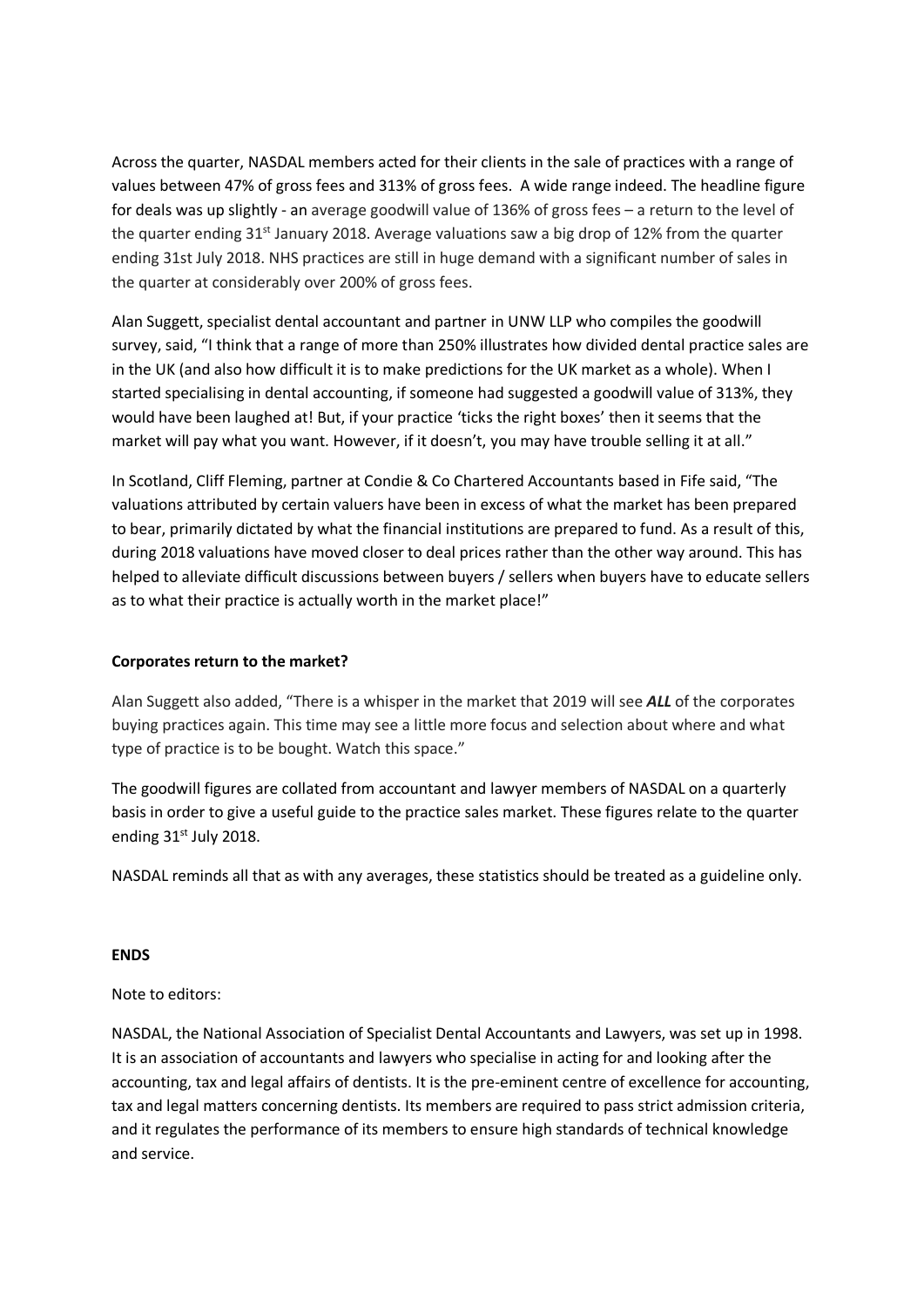Across the quarter, NASDAL members acted for their clients in the sale of practices with a range of values between 47% of gross fees and 313% of gross fees. A wide range indeed. The headline figure for deals was up slightly - an average goodwill value of 136% of gross fees – a return to the level of the quarter ending  $31<sup>st</sup>$  January 2018. Average valuations saw a big drop of 12% from the quarter ending 31st July 2018. NHS practices are still in huge demand with a significant number of sales in the quarter at considerably over 200% of gross fees.

Alan Suggett, specialist dental accountant and partner in UNW LLP who compiles the goodwill survey, said, "I think that a range of more than 250% illustrates how divided dental practice sales are in the UK (and also how difficult it is to make predictions for the UK market as a whole). When I started specialising in dental accounting, if someone had suggested a goodwill value of 313%, they would have been laughed at! But, if your practice 'ticks the right boxes' then it seems that the market will pay what you want. However, if it doesn't, you may have trouble selling it at all."

In Scotland, Cliff Fleming, partner at Condie & Co Chartered Accountants based in Fife said, "The valuations attributed by certain valuers have been in excess of what the market has been prepared to bear, primarily dictated by what the financial institutions are prepared to fund. As a result of this, during 2018 valuations have moved closer to deal prices rather than the other way around. This has helped to alleviate difficult discussions between buyers / sellers when buyers have to educate sellers as to what their practice is actually worth in the market place!"

# **Corporates return to the market?**

Alan Suggett also added, "There is a whisper in the market that 2019 will see *ALL* of the corporates buying practices again. This time may see a little more focus and selection about where and what type of practice is to be bought. Watch this space."

The goodwill figures are collated from accountant and lawyer members of NASDAL on a quarterly basis in order to give a useful guide to the practice sales market. These figures relate to the quarter ending 31<sup>st</sup> July 2018.

NASDAL reminds all that as with any averages, these statistics should be treated as a guideline only.

### **ENDS**

# Note to editors:

NASDAL, the National Association of Specialist Dental Accountants and Lawyers, was set up in 1998. It is an association of accountants and lawyers who specialise in acting for and looking after the accounting, tax and legal affairs of dentists. It is the pre-eminent centre of excellence for accounting, tax and legal matters concerning dentists. Its members are required to pass strict admission criteria, and it regulates the performance of its members to ensure high standards of technical knowledge and service.